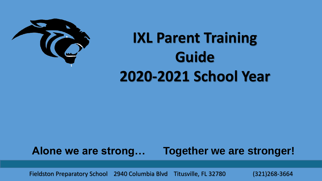

#### **IXL Parent Training Guide 2020-2021 School Year**

#### **Alone we are strong… Together we are stronger!**

<sup>1</sup> Fieldston Preparatory School 2940 Columbia Blvd Titusville, FL 32780 (321)268-3664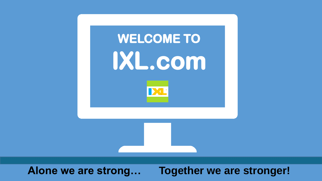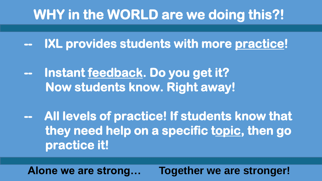#### **WHY in the WORLD are we doing this?!**

**-- IXL provides students with more practice!**

**-- Instant feedback. Do you get it? Now students know. Right away!**

**-- All levels of practice! If students know that they need help on a specific topic, then go practice it!**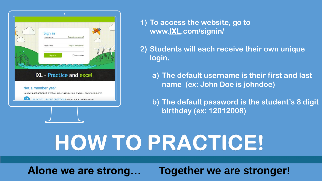

**1) To access the website, go to www.IXL.com/signin/**

**2) Students will each receive their own unique login.**

**a) The default username is their first and last name (ex: John Doe is johndoe)**

**b) The default password is the student's 8 digit birthday (ex: 12012008)**

# HOW TO PRACTICE!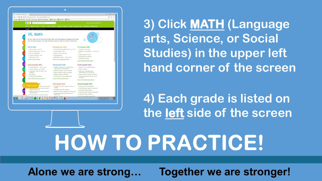

**3) Click MATH (Language arts, Science, or Social Studies) in the upper left hand corner of the screen**

**4) Each grade is listed on the left side of the screen**

#### HOW TO PRACTICE!

Alone we are strong...

**Together we are stronger!**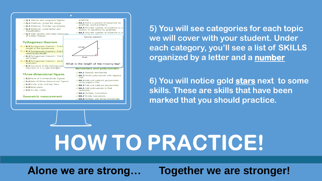

**5) You will see categories for each topic we will cover with your student. Under each category, you'll see a list of SKILLS organized by a letter and a number**

**6) You will notice gold stars next to some skills. These are skills that have been marked that you should practice.**

## **HOW TO PRACTICE!**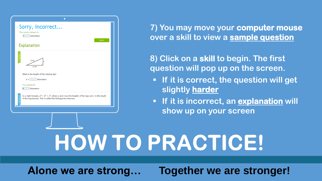

**7) You may move your computer mouse over a skill to view a sample question**

**8) Click on a skill to begin. The first question will pop up on the screen.** 

- **If it is correct, the question will get slightly harder**
- **If it is incorrect, an explanation will show up on your screen**

# HOW TO PRACTICE!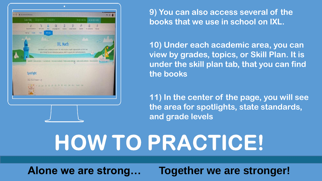

**9) You can also access several of the books that we use in school on IXL.**

**10) Under each academic area, you can view by grades, topics, or Skill Plan. It is under the skill plan tab, that you can find the books**

**11) In the center of the page, you will see the area for spotlights, state standards, and grade levels**

### HOW TO PRACTICE!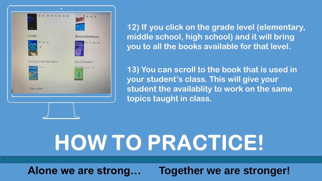

**12) If you click on the grade level (elementary, middle school, high school) and it will bring you to all the books available for that level.**

**13) You can scroll to the book that is used in your student's class. This will give your student the availablity to work on the same topics taught in class.**

# HOW TO PRACTICE!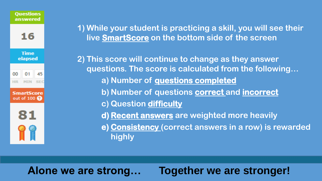

**1) While your student is practicing a skill, you will see their live SmartScore on the bottom side of the screen**

**2) This score will continue to change as they answer questions. The score is calculated from the following… a) Number of questions completed b) Number of questions correct and incorrect c) Question difficulty**

- **d) Recent answers are weighted more heavily**
- **e) Consistency (correct answers in a row) is rewarded highly**